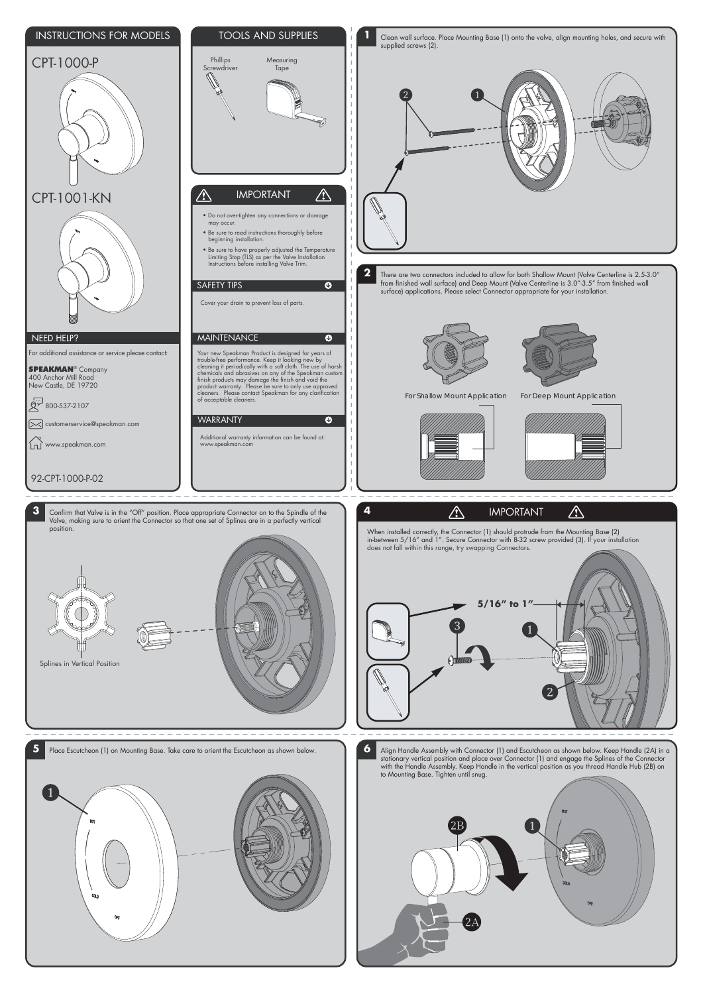**5** Place Escutcheon (1) on Mounting Base. Take care to orient the Escutcheon as shown below. <br> **6** Align Handle Assembly with Connector (1) and Escutcheon as shown below.<br>
Align Handle Assembly with Connector (1) and Escu stationary vertical position and place over Connector (1) and engage the Splines of the Connector with the Handle Assembly. Keep Handle in the vertical position as you thread Handle Hub (2B) on to Mounting Base. Tighten until snug.

 $\left(1\right)$